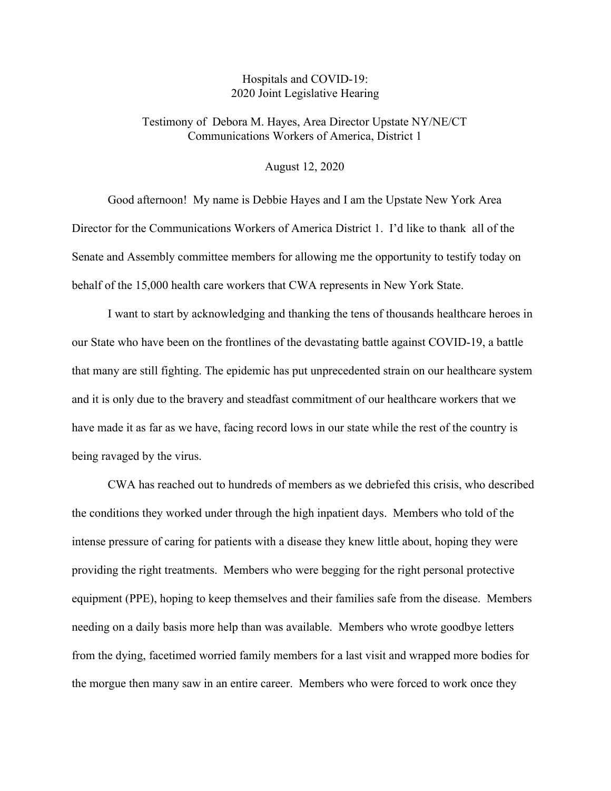## Hospitals and COVID-19: 2020 Joint Legislative Hearing

## Testimony of Debora M. Hayes, Area Director Upstate NY/NE/CT Communications Workers of America, District 1

## August 12, 2020

Good afternoon! My name is Debbie Hayes and I am the Upstate New York Area Director for the Communications Workers of America District 1. I'd like to thank all of the Senate and Assembly committee members for allowing me the opportunity to testify today on behalf of the 15,000 health care workers that CWA represents in New York State.

I want to start by acknowledging and thanking the tens of thousands healthcare heroes in our State who have been on the frontlines of the devastating battle against COVID-19, a battle that many are still fighting. The epidemic has put unprecedented strain on our healthcare system and it is only due to the bravery and steadfast commitment of our healthcare workers that we have made it as far as we have, facing record lows in our state while the rest of the country is being ravaged by the virus.

CWA has reached out to hundreds of members as we debriefed this crisis, who described the conditions they worked under through the high inpatient days. Members who told of the intense pressure of caring for patients with a disease they knew little about, hoping they were providing the right treatments. Members who were begging for the right personal protective equipment (PPE), hoping to keep themselves and their families safe from the disease. Members needing on a daily basis more help than was available. Members who wrote goodbye letters from the dying, facetimed worried family members for a last visit and wrapped more bodies for the morgue then many saw in an entire career. Members who were forced to work once they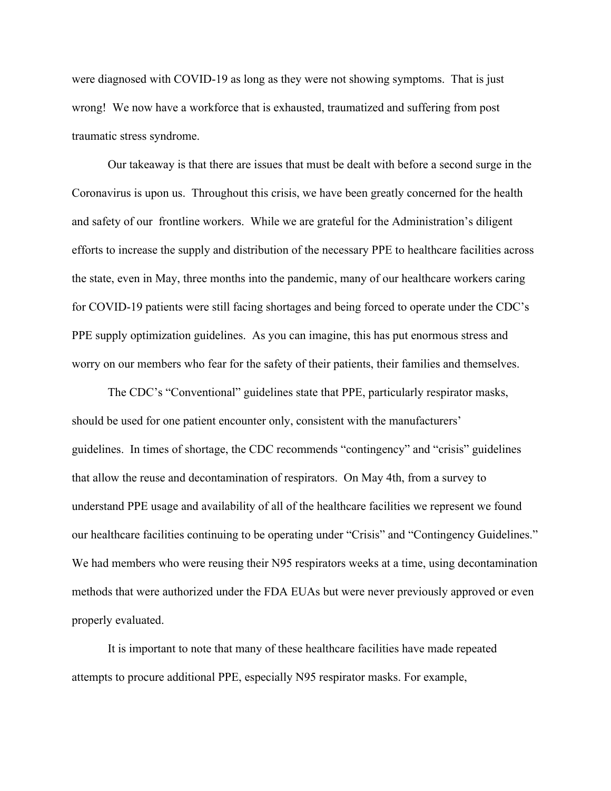were diagnosed with COVID-19 as long as they were not showing symptoms. That is just wrong! We now have a workforce that is exhausted, traumatized and suffering from post traumatic stress syndrome.

Our takeaway is that there are issues that must be dealt with before a second surge in the Coronavirus is upon us. Throughout this crisis, we have been greatly concerned for the health and safety of our frontline workers. While we are grateful for the Administration's diligent efforts to increase the supply and distribution of the necessary PPE to healthcare facilities across the state, even in May, three months into the pandemic, many of our healthcare workers caring for COVID-19 patients were still facing shortages and being forced to operate under the CDC's PPE supply optimization guidelines. As you can imagine, this has put enormous stress and worry on our members who fear for the safety of their patients, their families and themselves.

The CDC's "Conventional" guidelines state that PPE, particularly respirator masks, should be used for one patient encounter only, consistent with the manufacturers' guidelines. In times of shortage, the CDC recommends "contingency" and "crisis" guidelines that allow the reuse and decontamination of respirators. On May 4th, from a survey to understand PPE usage and availability of all of the healthcare facilities we represent we found our healthcare facilities continuing to be operating under "Crisis" and "Contingency Guidelines." We had members who were reusing their N95 respirators weeks at a time, using decontamination methods that were authorized under the FDA EUAs but were never previously approved or even properly evaluated.

It is important to note that many of these healthcare facilities have made repeated attempts to procure additional PPE, especially N95 respirator masks. For example,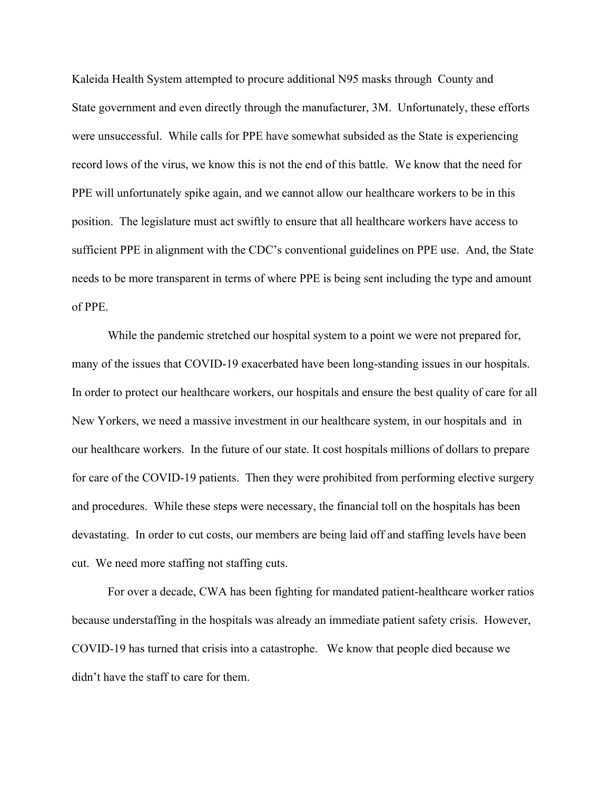Kaleida Health System attempted to procure additional N95 masks through County and State government and even directly through the manufacturer, 3M. Unfortunately, these efforts were unsuccessful. While calls for PPE have somewhat subsided as the State is experiencing record lows of the virus, we know this is not the end of this battle. We know that the need for PPE will unfortunately spike again, and we cannot allow our healthcare workers to be in this position. The legislature must act swiftly to ensure that all healthcare workers have access to sufficient PPE in alignment with the CDC's conventional guidelines on PPE use. And, the State needs to be more transparent in terms of where PPE is being sent including the type and amount of PPE.

While the pandemic stretched our hospital system to a point we were not prepared for, many of the issues that COVID-19 exacerbated have been long-standing issues in our hospitals. In order to protect our healthcare workers, our hospitals and ensure the best quality of care for all New Yorkers, we need a massive investment in our healthcare system, in our hospitals and in our healthcare workers. In the future of our state. It cost hospitals millions of dollars to prepare for care of the COVID-19 patients. Then they were prohibited from performing elective surgery and procedures. While these steps were necessary, the financial toll on the hospitals has been devastating. In order to cut costs, our members are being laid off and staffing levels have been cut. We need more staffing not staffing cuts.

For over a decade, CWA has been fighting for mandated patient-healthcare worker ratios because understaffing in the hospitals was already an immediate patient safety crisis. However, COVID-19 has turned that crisis into a catastrophe. We know that people died because we didn't have the staff to care for them.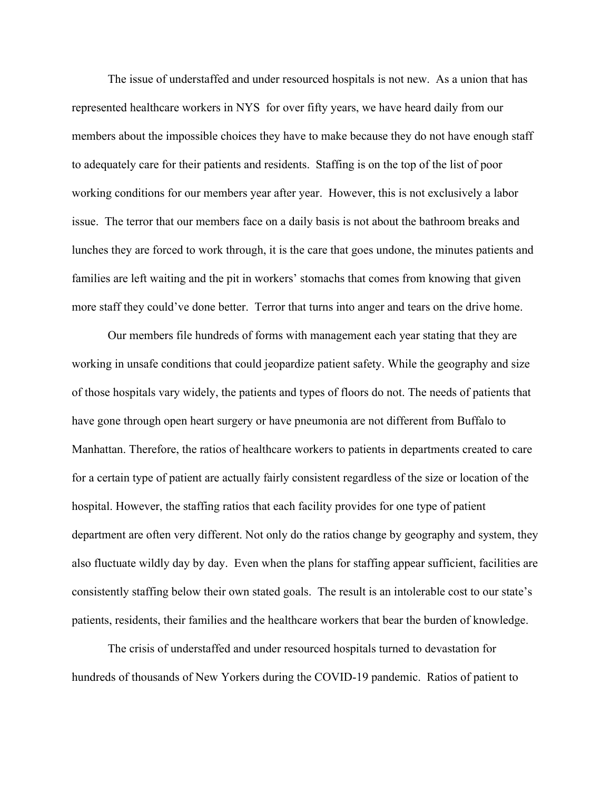The issue of understaffed and under resourced hospitals is not new. As a union that has represented healthcare workers in NYS for over fifty years, we have heard daily from our members about the impossible choices they have to make because they do not have enough staff to adequately care for their patients and residents. Staffing is on the top of the list of poor working conditions for our members year after year. However, this is not exclusively a labor issue. The terror that our members face on a daily basis is not about the bathroom breaks and lunches they are forced to work through, it is the care that goes undone, the minutes patients and families are left waiting and the pit in workers' stomachs that comes from knowing that given more staff they could've done better. Terror that turns into anger and tears on the drive home.

Our members file hundreds of forms with management each year stating that they are working in unsafe conditions that could jeopardize patient safety. While the geography and size of those hospitals vary widely, the patients and types of floors do not. The needs of patients that have gone through open heart surgery or have pneumonia are not different from Buffalo to Manhattan. Therefore, the ratios of healthcare workers to patients in departments created to care for a certain type of patient are actually fairly consistent regardless of the size or location of the hospital. However, the staffing ratios that each facility provides for one type of patient department are often very different. Not only do the ratios change by geography and system, they also fluctuate wildly day by day. Even when the plans for staffing appear sufficient, facilities are consistently staffing below their own stated goals. The result is an intolerable cost to our state's patients, residents, their families and the healthcare workers that bear the burden of knowledge.

The crisis of understaffed and under resourced hospitals turned to devastation for hundreds of thousands of New Yorkers during the COVID-19 pandemic. Ratios of patient to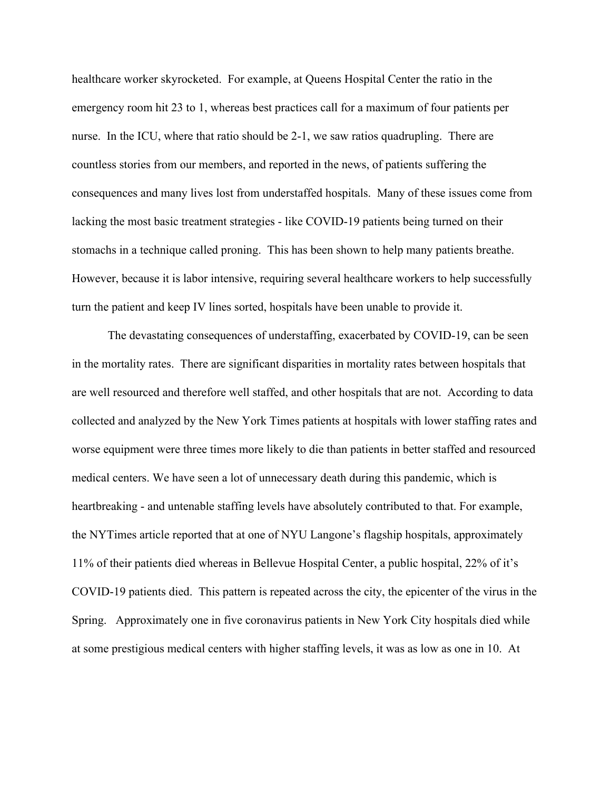healthcare worker skyrocketed. For example, at Queens Hospital Center the ratio in the emergency room hit 23 to 1, whereas best practices call for a maximum of four patients per nurse. In the ICU, where that ratio should be 2-1, we saw ratios quadrupling. There are countless stories from our members, and reported in the news, of patients suffering the consequences and many lives lost from understaffed hospitals. Many of these issues come from lacking the most basic treatment strategies - like COVID-19 patients being turned on their stomachs in a technique called proning. This has been shown to help many patients breathe. However, because it is labor intensive, requiring several healthcare workers to help successfully turn the patient and keep IV lines sorted, hospitals have been unable to provide it.

The devastating consequences of understaffing, exacerbated by COVID-19, can be seen in the mortality rates. There are significant disparities in mortality rates between hospitals that are well resourced and therefore well staffed, and other hospitals that are not. According to data collected and analyzed by the New York Times patients at hospitals with lower staffing rates and worse equipment were three times more likely to die than patients in better staffed and resourced medical centers. We have seen a lot of unnecessary death during this pandemic, which is heartbreaking - and untenable staffing levels have absolutely contributed to that. For example, the NYTimes article reported that at one of NYU Langone's flagship hospitals, approximately 11% of their patients died whereas in Bellevue Hospital Center, a public hospital, 22% of it's COVID-19 patients died. This pattern is repeated across the city, the epicenter of the virus in the Spring. Approximately one in five coronavirus patients in New York City hospitals died while at some prestigious medical centers with higher staffing levels, it was as low as one in 10. At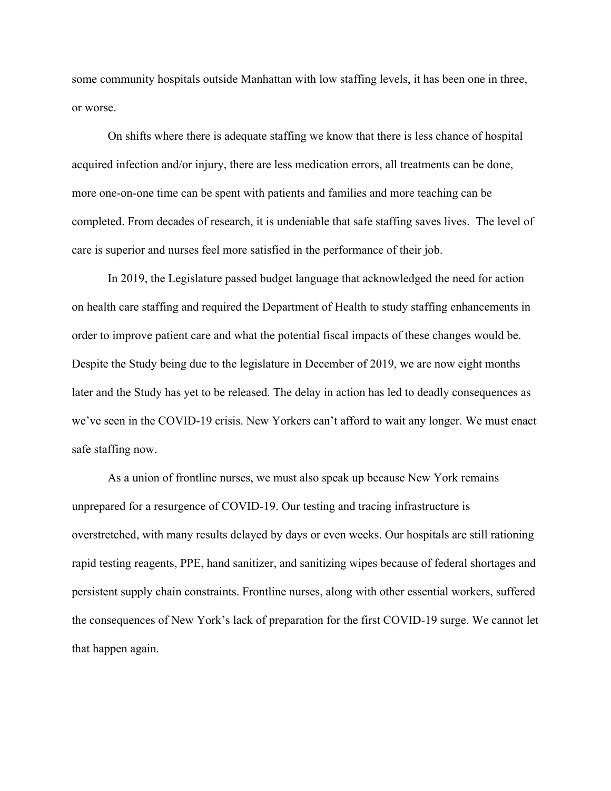some community hospitals outside Manhattan with low staffing levels, it has been one in three, or worse.

On shifts where there is adequate staffing we know that there is less chance of hospital acquired infection and/or injury, there are less medication errors, all treatments can be done, more one-on-one time can be spent with patients and families and more teaching can be completed. From decades of research, it is undeniable that safe staffing saves lives. The level of care is superior and nurses feel more satisfied in the performance of their job.

In 2019, the Legislature passed budget language that acknowledged the need for action on health care staffing and required the Department of Health to study staffing enhancements in order to improve patient care and what the potential fiscal impacts of these changes would be. Despite the Study being due to the legislature in December of 2019, we are now eight months later and the Study has yet to be released. The delay in action has led to deadly consequences as we've seen in the COVID-19 crisis. New Yorkers can't afford to wait any longer. We must enact safe staffing now.

As a union of frontline nurses, we must also speak up because New York remains unprepared for a resurgence of COVID-19. Our testing and tracing infrastructure is overstretched, with [many results delayed by days or even weeks.](https://www.nytimes.com/2020/07/23/nyregion/coronavirus-testing-nyc.html) Our hospitals are still rationing rapid testing reagents, PPE, hand sanitizer, and sanitizing wipes because of federal shortages and persistent supply chain constraints. Frontline nurses, along with other essential workers, suffered the consequences of New York's lack of preparation for the first COVID-19 surge. We cannot let that happen again.